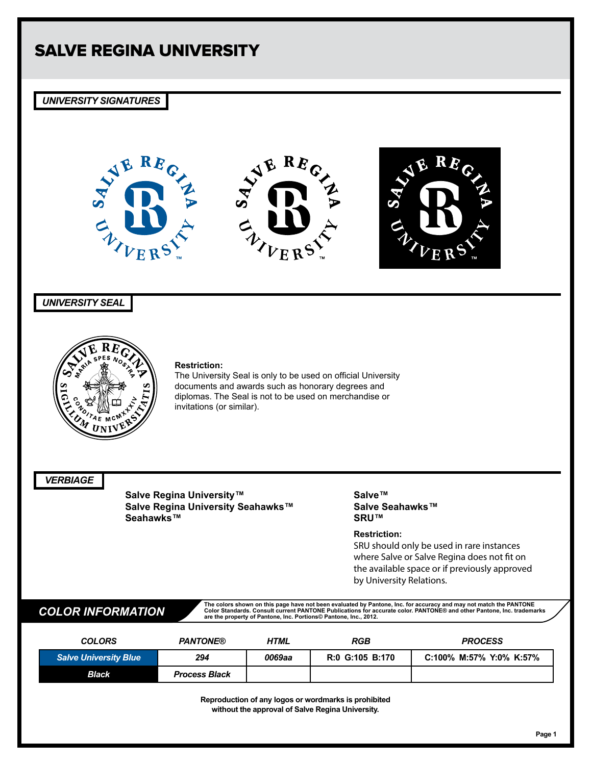## *UNIVERSITY SIGNATURES*



## *UNIVERSITY SEAL*



### **Restriction:**

The University Seal is only to be used on official University documents and awards such as honorary degrees and diplomas. The Seal is not to be used on merchandise or invitations (or similar).

*VERBIAGE*

**Salve Regina University™ Salve Regina University Seahawks™ Seahawks™**

## **Salve™ Salve Seahawks™ SRU™**

## **Restriction:**

SRU should only be used in rare instances where Salve or Salve Regina does not fit on the available space or if previously approved by University Relations.

The colors shown on this page have not been evaluated by Pantone, Inc. for accuracy and may not match the PANTONE COLOR INFORMATION Consult current PANTONE are the property of Pantone, Inc. Consult current Pantone, Inc. tr

| <b>COLORS</b>                | <b>PANTONE®</b>      | HTML   | <b>RGB</b>      | <b>PROCESS</b>          |
|------------------------------|----------------------|--------|-----------------|-------------------------|
| <b>Salve University Blue</b> | 294                  | 0069aa | R:0 G:105 B:170 | C:100% M:57% Y:0% K:57% |
| <b>Black</b>                 | <b>Process Black</b> |        |                 |                         |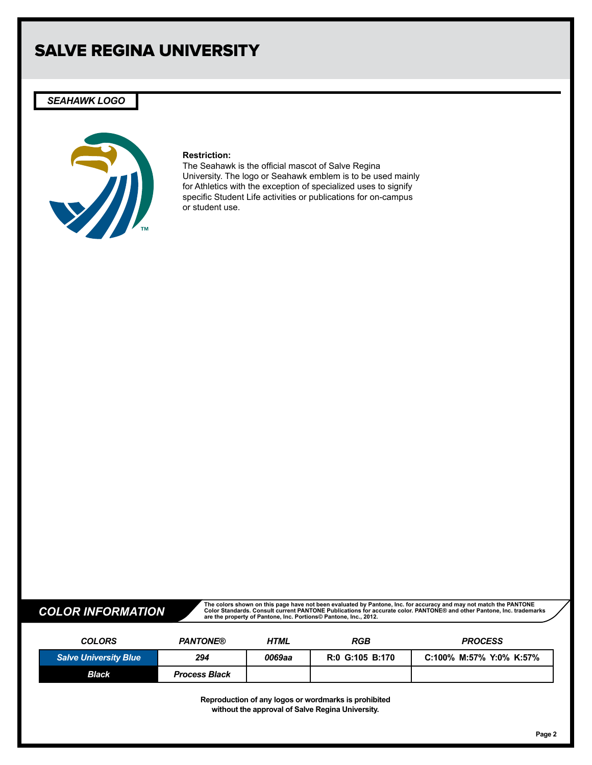## *SEAHAWK LOGO*



### **Restriction:**

The Seahawk is the official mascot of Salve Regina University. The logo or Seahawk emblem is to be used mainly for Athletics with the exception of specialized uses to signify specific Student Life activities or publications for on-campus or student use.

The colors shown on this page have not been evaluated by Pantone, Inc. for accuracy and may not match the PANTONE COLOR INFORMATION Consult current PANTONE are the property of Pantone, Inc. Consult current Pantone, Inc. tr

| <b>COLORS</b>                | <b>PANTONE®</b>      | HTML   | <b>RGB</b>      | <b>PROCESS</b>          |
|------------------------------|----------------------|--------|-----------------|-------------------------|
| <b>Salve University Blue</b> | 294                  | 0069aa | R:0 G:105 B:170 | C:100% M:57% Y:0% K:57% |
| Black                        | <b>Process Black</b> |        |                 |                         |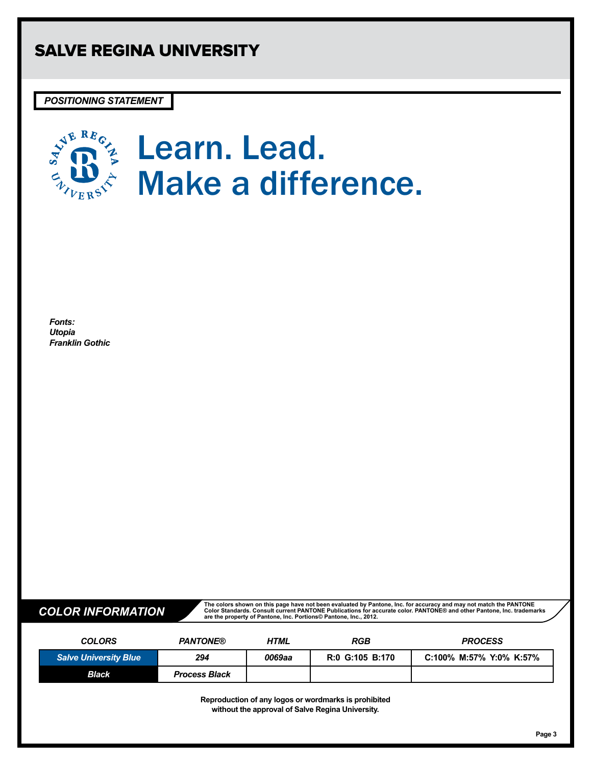*POSITIONING STATEMENT*



*Fonts: Utopia Franklin Gothic*

The colors shown on this page have not been evaluated by Pantone, Inc. for accuracy and may not match the PANTONE COLOR INFORMATION Consult current PANTONE are the property of Pantone, Inc. Consult current Pantone, Inc. tr

| <b>COLORS</b>                | <b>PANTONE®</b>      | <b>HTML</b> | RGB             | <b>PROCESS</b>          |
|------------------------------|----------------------|-------------|-----------------|-------------------------|
| <b>Salve University Blue</b> | 294                  | 0069aa      | R:0 G:105 B:170 | C:100% M:57% Y:0% K:57% |
| <b>Black</b>                 | <b>Process Black</b> |             |                 |                         |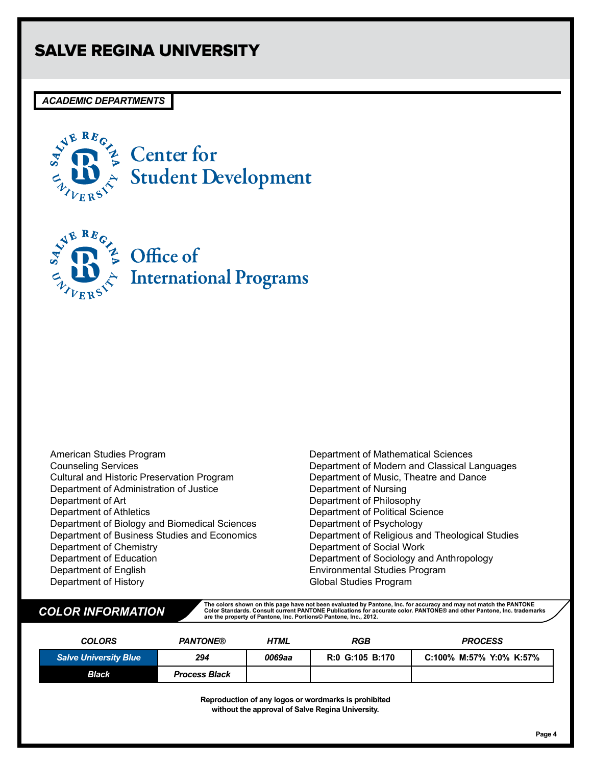## *ACADEMIC DEPARTMENTS*



**E** Center for Student Development



Office of **International Programs** 

American Studies Program Counseling Services Cultural and Historic Preservation Program Department of Administration of Justice Department of Art Department of Athletics Department of Biology and Biomedical Sciences Department of Business Studies and Economics Department of Chemistry Department of Education Department of English Department of History

Department of Mathematical Sciences Department of Modern and Classical Languages Department of Music, Theatre and Dance Department of Nursing Department of Philosophy Department of Political Science Department of Psychology Department of Religious and Theological Studies Department of Social Work Department of Sociology and Anthropology Environmental Studies Program Global Studies Program

The colors shown on this page have not been evaluated by Pantone, Inc. for accuracy and may not match the PANTONE COLOR INFORMATION Consult current PANTONE are the property of Pantone, Inc. Consult current Pantone, Inc. tr

| <b>COLORS</b>                | <b>PANTONE®</b>      | <b>HTML</b> | <b>RGB</b>      | <b>PROCESS</b>          |
|------------------------------|----------------------|-------------|-----------------|-------------------------|
| <b>Salve University Blue</b> | 294                  | 0069aa      | R:0 G:105 B:170 | C:100% M:57% Y:0% K:57% |
| <b>Black</b>                 | <b>Process Black</b> |             |                 |                         |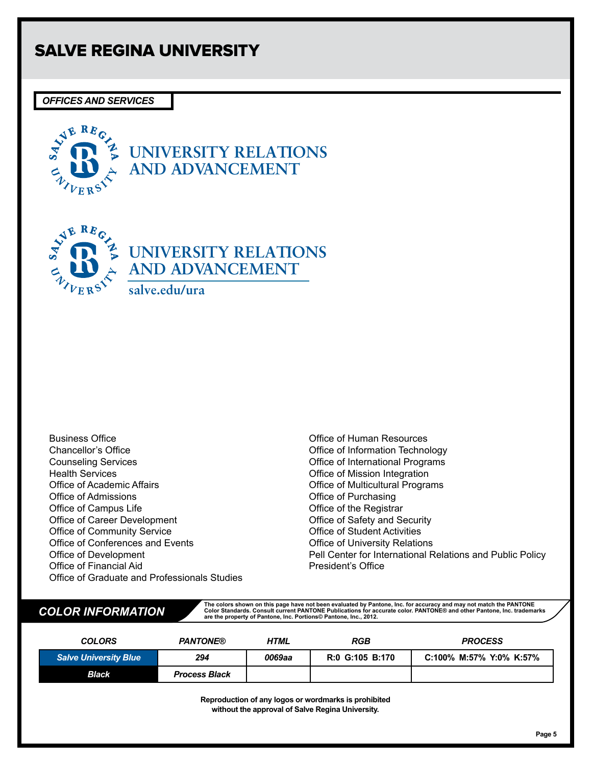## *OFFICES AND SERVICES*



**UNIVERSITY RELATIONS AND ADVANCEMENT**



Business Office Chancellor's Office Counseling Services Health Services Office of Academic Affairs Office of Admissions Office of Campus Life Office of Career Development Office of Community Service Office of Conferences and Events Office of Development Office of Financial Aid Office of Graduate and Professionals Studies

Office of Human Resources Office of Information Technology Office of International Programs Office of Mission Integration Office of Multicultural Programs Office of Purchasing Office of the Registrar Office of Safety and Security Office of Student Activities Office of University Relations Pell Center for International Relations and Public Policy President's Office

The colors shown on this page have not been evaluated by Pantone, Inc. for accuracy and may not match the PANTONE COLOR INFORMATION Consult current PANTONE are the property of Pantone, Inc. Consult current Pantone, Inc. tr

| <b>COLORS</b>                | <b>PANTONE®</b>      | HTML   | <b>RGB</b>      | <b>PROCESS</b>          |
|------------------------------|----------------------|--------|-----------------|-------------------------|
| <b>Salve University Blue</b> | 294                  | 0069aa | R:0 G:105 B:170 | C:100% M:57% Y:0% K:57% |
| Black                        | <b>Process Black</b> |        |                 |                         |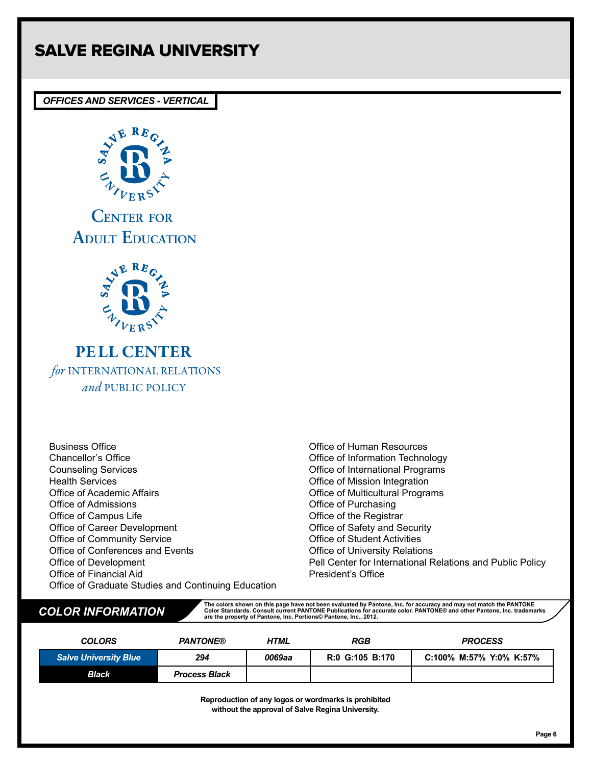## *OFFICES AND SERVICES - VERTICAL*



**CENTER FOR ADULT EDUCATION**



PELL CENTER *for* INTERNATIONAL RELATIONS *and* PUBLIC POLICY

Business Office Chancellor's Office Counseling Services Health Services Office of Academic Affairs Office of Admissions Office of Campus Life Office of Career Development Office of Community Service Office of Conferences and Events Office of Development Office of Financial Aid Office of Graduate Studies and Continuing Education

Office of Human Resources Office of Information Technology Office of International Programs Office of Mission Integration Office of Multicultural Programs Office of Purchasing Office of the Registrar Office of Safety and Security Office of Student Activities Office of University Relations Pell Center for International Relations and Public Policy President's Office

The colors shown on this page have not been evaluated by Pantone, Inc. for accuracy and may not match the PANTONE COLOR INFORMATION Consult current PANTONE are the property of Pantone, Inc. Consult current Pantone, Inc. tr

| <b>COLORS</b>                | <b>PANTONE®</b>      | <b>HTML</b> | RGB             | <b>PROCESS</b>          |
|------------------------------|----------------------|-------------|-----------------|-------------------------|
| <b>Salve University Blue</b> | 294                  | 0069aa      | R:0 G:105 B:170 | C:100% M:57% Y:0% K:57% |
| Black                        | <b>Process Black</b> |             |                 |                         |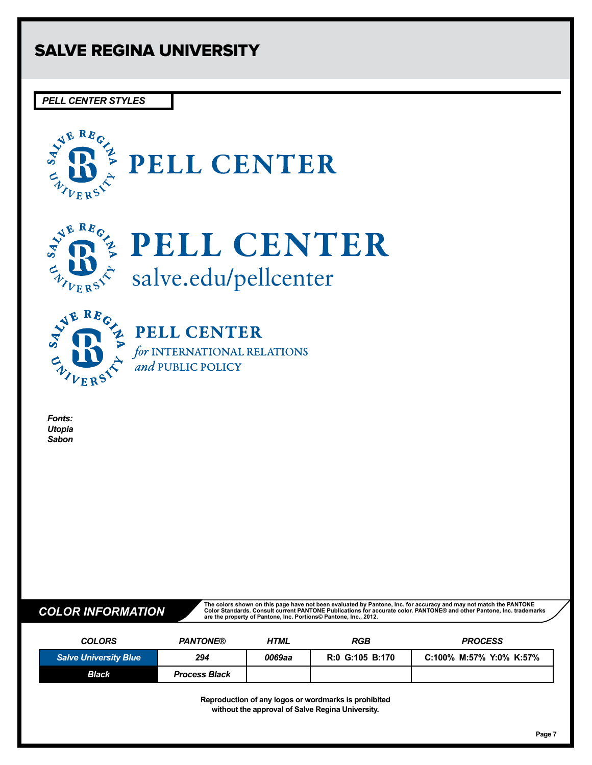*PELL CENTER STYLES*





# **SUBBING PELL CENTER** salve.edu/pellcenter



**PELL CENTER** 

for INTERNATIONAL RELATIONS and PUBLIC POLICY

*Fonts: Utopia Sabon*

The colors shown on this page have not been evaluated by Pantone, Inc. for accuracy and may not match the PANTONE COLOR INFORMATION Consult current PANTONE are the property of Pantone, Inc. Consult current Pantone, Inc. tr

| <b>COLORS</b>                | <b>PANTONE®</b>      | HTML   | <b>RGB</b>      | <b>PROCESS</b>          |
|------------------------------|----------------------|--------|-----------------|-------------------------|
| <b>Salve University Blue</b> | 294                  | 0069aa | R:0 G:105 B:170 | C:100% M:57% Y:0% K:57% |
| <b>Black</b>                 | <b>Process Black</b> |        |                 |                         |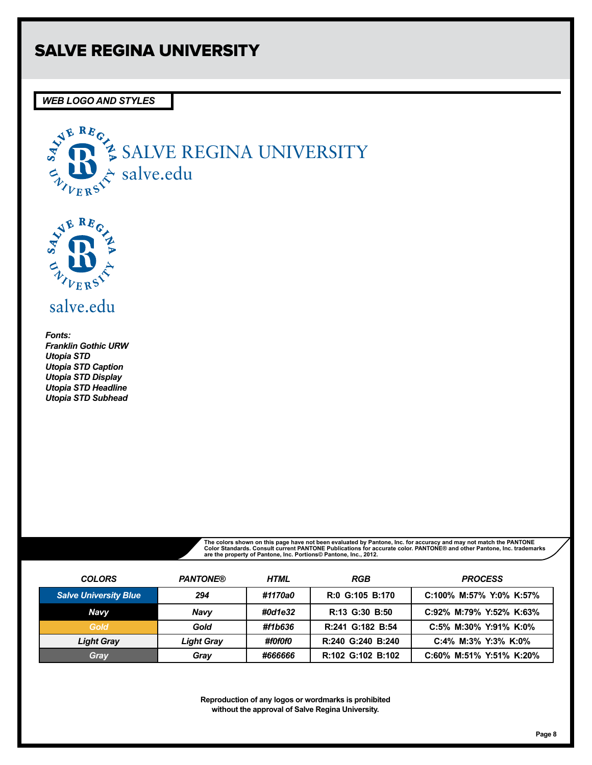*WEB LOGO AND STYLES*





salve.edu

*Fonts: Franklin Gothic URW Utopia STD Utopia STD Caption Utopia STD Display Utopia STD Headline Utopia STD Subhead*

The colors shown on this page have not been evaluated by Pantone, Inc. for accuracy and may not match the PANTONE<br>Color Standards. Consult current PANTONE Publications for accurate color. PANTONE® and other Pantone, Inc.

| <b>COLORS</b>                | <b>PANTONE®</b>   | <b>HTML</b> | RGB               | <b>PROCESS</b>          |
|------------------------------|-------------------|-------------|-------------------|-------------------------|
| <b>Salve University Blue</b> | 294               | #1170a0     | R:0 G:105 B:170   | C:100% M:57% Y:0% K:57% |
| <b>Navy</b>                  | <b>Navy</b>       | #0d1e32     | R:13 G:30 B:50    | C:92% M:79% Y:52% K:63% |
| Gold                         | Gold              | #f1b636     | R:241 G:182 B:54  | C:5% M:30% Y:91% K:0%   |
| <b>Light Gray</b>            | <b>Light Gray</b> | #f0f0f0     | R:240 G:240 B:240 | C:4% M:3% Y:3% K:0%     |
| Gray                         | Gray              | #666666     | R:102 G:102 B:102 | C:60% M:51% Y:51% K:20% |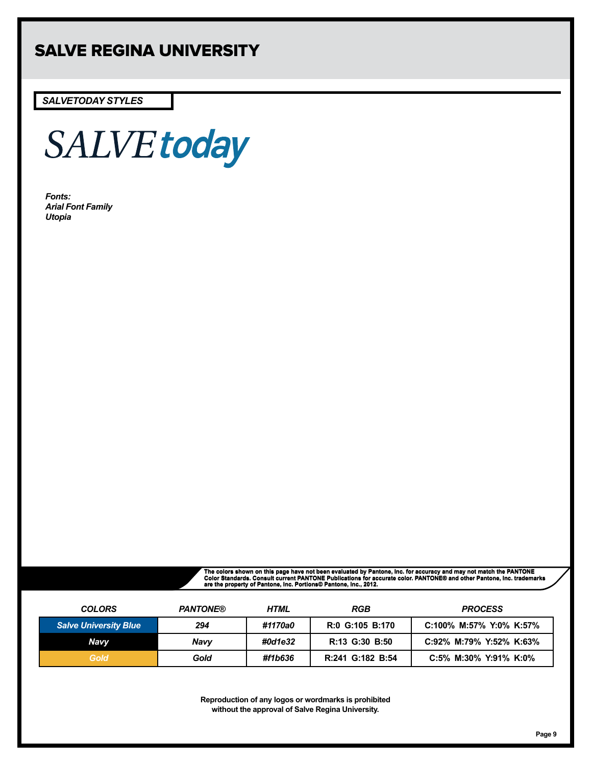*SALVETODAY STYLES*



*Fonts: Arial Font Family Utopia*

The colors shown on this page have not been evaluated by Pantone, Inc. for accuracy and may not match the PANTONE<br>Color Standards. Consult current PANTONE Publications for accurate color. PANTONE® and other Pantone, Inc.

| <b>COLORS</b>                | <b>PANTONE®</b> | HTML    | RGB              | <b>PROCESS</b>          |
|------------------------------|-----------------|---------|------------------|-------------------------|
| <b>Salve University Blue</b> | 294             | #1170a0 | R:0 G:105 B:170  | C:100% M:57% Y:0% K:57% |
| Navv                         | Navv            | #0d1e32 | R:13 G:30 B:50   | C:92% M:79% Y:52% K:63% |
| Gold                         | Gold            | #f1b636 | R:241 G:182 B:54 | C:5% M:30% Y:91% K:0%   |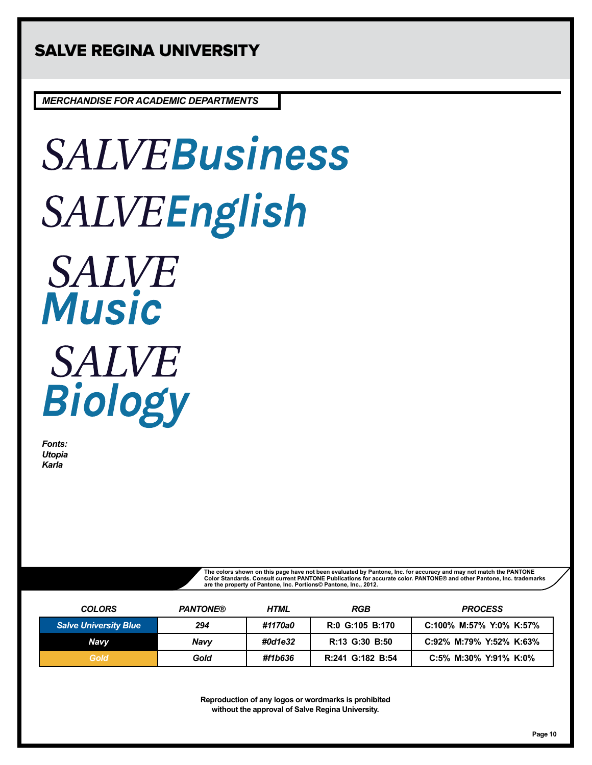*MERCHANDISE FOR ACADEMIC DEPARTMENTS*

# **SALVEBusiness** SALVEEnglish **SALVE Music SALVE** Biology

*Fonts: Utopia Karla*

> The colors shown on this page have not been evaluated by Pantone, Inc. for accuracy and may not match the PANTONE<br>Color Standards. Consult current PANTONE Publications for accurate color. PANTONE® and other Pantone, Inc. t **are the property of Pantone, Inc. Portions© Pantone, Inc., 2012.**

| <b>COLORS</b>                | <b>PANTONE®</b> | HTML    | <b>RGB</b>       | <b>PROCESS</b>          |
|------------------------------|-----------------|---------|------------------|-------------------------|
| <b>Salve University Blue</b> | 294             | #1170a0 | R:0 G:105 B:170  | C:100% M:57% Y:0% K:57% |
| Navy                         | <b>Navy</b>     | #0d1e32 | R:13 G:30 B:50   | C:92% M:79% Y:52% K:63% |
| Gold                         | Gold            | #f1b636 | R:241 G:182 B:54 | C:5% M:30% Y:91% K:0%   |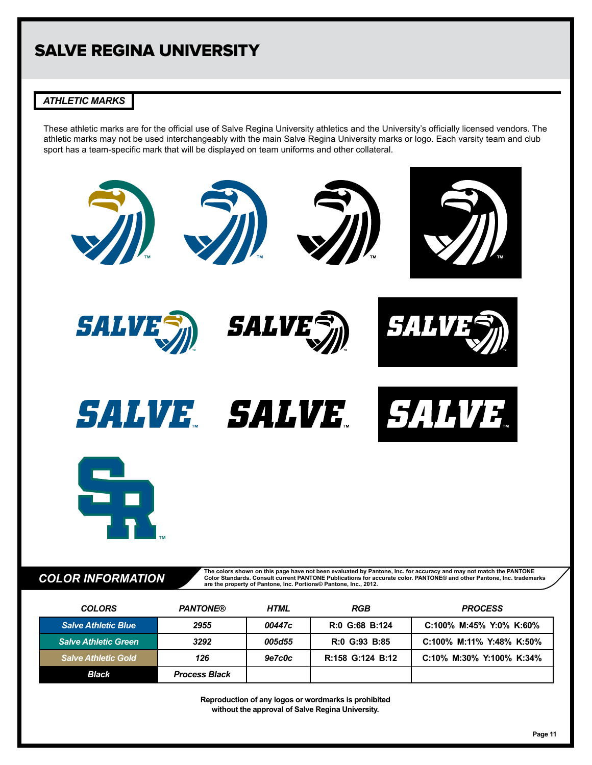## *ATHLETIC MARKS*

These athletic marks are for the official use of Salve Regina University athletics and the University's officially licensed vendors. The athletic marks may not be used interchangeably with the main Salve Regina University marks or logo. Each varsity team and club sport has a team-specific mark that will be displayed on team uniforms and other collateral.



**COLOR INFORMATION**<br>
<sup>Color</sup> Standards. Consult current PANTONE Publications for accurate color. PANTONE® and other Pantone, Inc. trademarks<br>
are the property of Pantone, Inc. Portions© Pantone, Inc., 2012.

| <b>COLORS</b>               | <b>PANTONE®</b>      | HTML   | RGB              | <b>PROCESS</b>           |
|-----------------------------|----------------------|--------|------------------|--------------------------|
| <b>Salve Athletic Blue</b>  | 2955                 | 00447c | R:0 G:68 B:124   | C:100% M:45% Y:0% K:60%  |
| <b>Salve Athletic Green</b> | 3292                 | 005d55 | R:0 G:93 B:85    | C:100% M:11% Y:48% K:50% |
| <b>Salve Athletic Gold</b>  | 126                  | 9e7c0c | R:158 G:124 B:12 | C:10% M:30% Y:100% K:34% |
| Black                       | <b>Process Black</b> |        |                  |                          |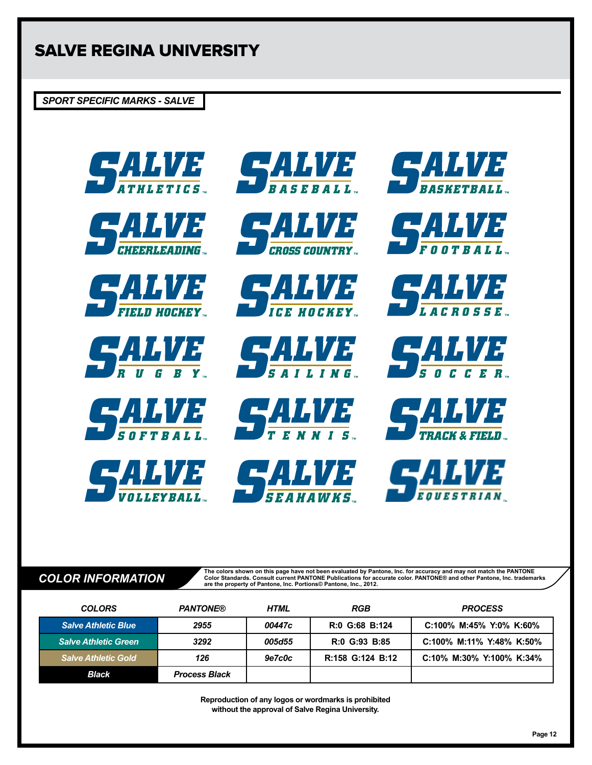*SPORT SPECIFIC MARKS - SALVE*





































The colors shown on this page have not been evaluated by Pantone, Inc. for accuracy and may not match the PANTONE<br>COLOR INFORMATION consult current PANTONE are the property of Pantone, Inc. Consult current PANTONE and othe

| <b>COLORS</b>               | <b>PANTONE®</b>      | <b>HTML</b> | RGB              | <b>PROCESS</b>           |
|-----------------------------|----------------------|-------------|------------------|--------------------------|
| <b>Salve Athletic Blue</b>  | 2955                 | 00447c      | R:0 G:68 B:124   | C:100% M:45% Y:0% K:60%  |
| <b>Salve Athletic Green</b> | 3292                 | 005d55      | R:0 G:93 B:85    | C:100% M:11% Y:48% K:50% |
| <b>Salve Athletic Gold</b>  | 126                  | 9e7c0c      | R:158 G:124 B:12 | C:10% M:30% Y:100% K:34% |
| <b>Black</b>                | <b>Process Black</b> |             |                  |                          |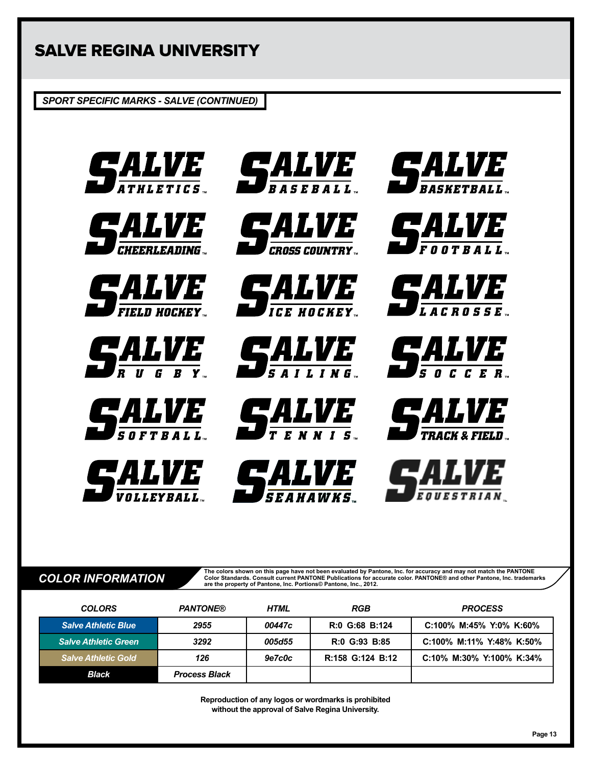*SPORT SPECIFIC MARKS - SALVE (CONTINUED)*





























![](_page_12_Picture_16.jpeg)

![](_page_12_Picture_17.jpeg)

![](_page_12_Picture_18.jpeg)

![](_page_12_Picture_19.jpeg)

**The colors shown on this page have not been evaluated by Pantone, Inc. for accuracy and may not match the PANTONE**  COLOR INFORMATION<br>
TOOR TO RESERVE THE PANTONE PUblications for accurate color. PANTONE® and other Pantone, Inc. trademarks<br> **Are the property of Pantone, Inc. Portions© Pantone, Inc., 2012.** 

| <b>COLORS</b>               | <b>PANTONE®</b>      | <b>HTML</b> | <b>RGB</b>       | <b>PROCESS</b>           |
|-----------------------------|----------------------|-------------|------------------|--------------------------|
| <b>Salve Athletic Blue</b>  | 2955                 | 00447c      | R:0 G:68 B:124   | C:100% M:45% Y:0% K:60%  |
| <b>Salve Athletic Green</b> | 3292                 | 005d55      | R:0 G:93 B:85    | C:100% M:11% Y:48% K:50% |
| <b>Salve Athletic Gold</b>  | 126                  | 9e7c0c      | R:158 G:124 B:12 | C:10% M:30% Y:100% K:34% |
| <b>Black</b>                | <b>Process Black</b> |             |                  |                          |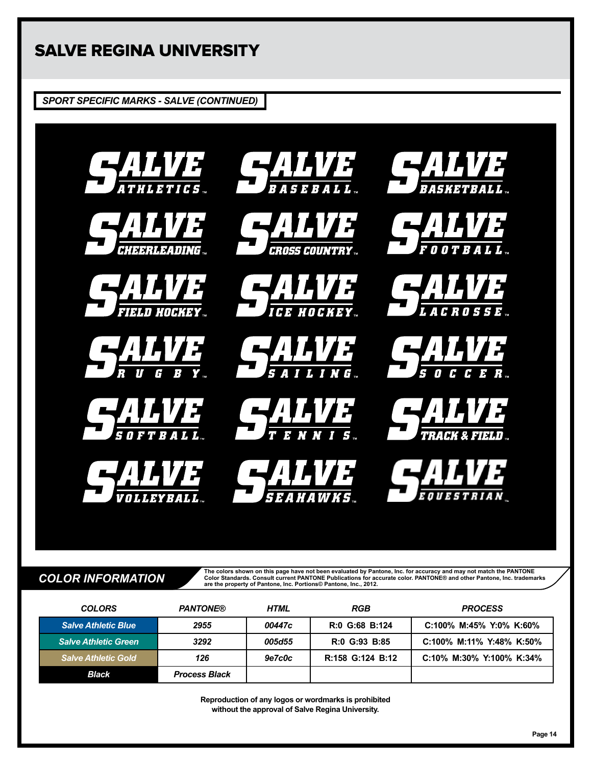*SPORT SPECIFIC MARKS - SALVE (CONTINUED)*

![](_page_13_Picture_2.jpeg)

The colors shown on this page have not been evaluated by Pantone, Inc. for accuracy and may not match the PANTONE<br>COLOR INFORMATION consult current PANTONE are the property of Pantone, Inc. Consult current PANTONE and othe

| <b>COLORS</b>               | <b>PANTONE®</b>      | <b>HTML</b> | <b>RGB</b>       | <b>PROCESS</b>           |
|-----------------------------|----------------------|-------------|------------------|--------------------------|
| <b>Salve Athletic Blue</b>  | 2955                 | 00447c      | R:0 G:68 B:124   | C:100% M:45% Y:0% K:60%  |
| <b>Salve Athletic Green</b> | 3292                 | 005d55      | R:0 G:93 B:85    | C:100% M:11% Y:48% K:50% |
| <b>Salve Athletic Gold</b>  | 126                  | 9e7c0c      | R:158 G:124 B:12 | C:10% M:30% Y:100% K:34% |
| <b>Black</b>                | <b>Process Black</b> |             |                  |                          |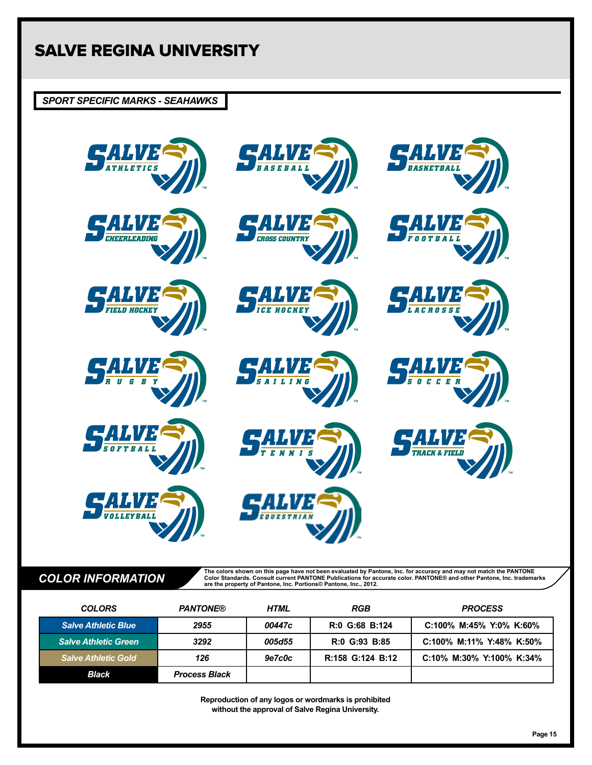## *SPORT SPECIFIC MARKS - SEAHAWKS*

![](_page_14_Picture_2.jpeg)

The colors shown on this page have not been evaluated by Pantone, Inc. for accuracy and may not match the PANTONE<br>COLOR INFORMATION consult current PANTONE are the property of Pantone, Inc. Consult current PANTONE and othe

| <b>COLORS</b>               | <b>PANTONE®</b>      | <b>HTML</b> | <b>RGB</b>       | <b>PROCESS</b>           |
|-----------------------------|----------------------|-------------|------------------|--------------------------|
| <b>Salve Athletic Blue</b>  | 2955                 | 00447c      | R:0 G:68 B:124   | C:100% M:45% Y:0% K:60%  |
| <b>Salve Athletic Green</b> | 3292                 | 005d55      | R:0 G:93 B:85    | C:100% M:11% Y:48% K:50% |
| <b>Salve Athletic Gold</b>  | 126                  | 9e7c0c      | R:158 G:124 B:12 | C:10% M:30% Y:100% K:34% |
| Black                       | <b>Process Black</b> |             |                  |                          |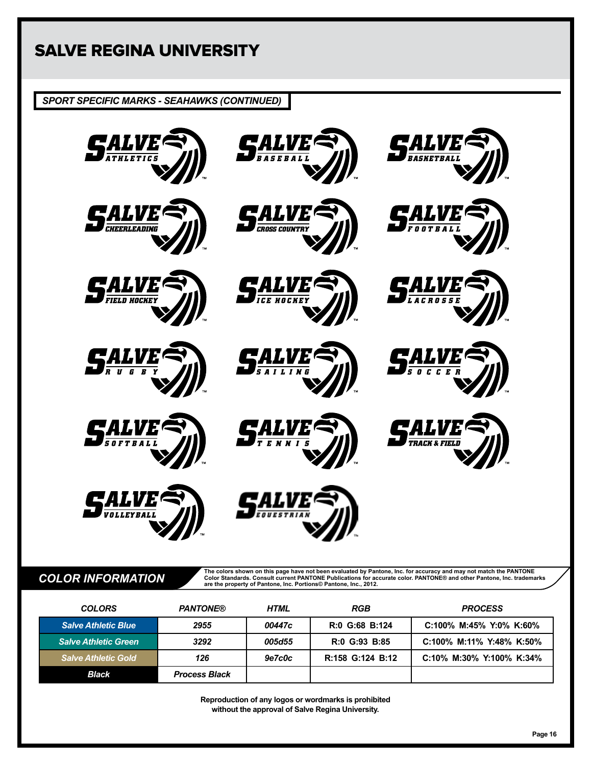*SPORT SPECIFIC MARKS - SEAHAWKS (CONTINUED)*

![](_page_15_Picture_2.jpeg)

The colors shown on this page have not been evaluated by Pantone, Inc. for accuracy and may not match the PANTONE<br>COLOR INFORMATION consult current PANTONE are the property of Pantone, Inc. Consult current PANTONE and othe

| <b>COLORS</b>               | <b>PANTONE®</b>      | <b>HTML</b> | RGB              | <b>PROCESS</b>           |
|-----------------------------|----------------------|-------------|------------------|--------------------------|
| <b>Salve Athletic Blue</b>  | 2955                 | 00447c      | R:0 G:68 B:124   | C:100% M:45% Y:0% K:60%  |
| <b>Salve Athletic Green</b> | 3292                 | 005d55      | R:0 G:93 B:85    | C:100% M:11% Y:48% K:50% |
| <b>Salve Athletic Gold</b>  | 126                  | 9e7c0c      | R:158 G:124 B:12 | C:10% M:30% Y:100% K:34% |
| <b>Black</b>                | <b>Process Black</b> |             |                  |                          |